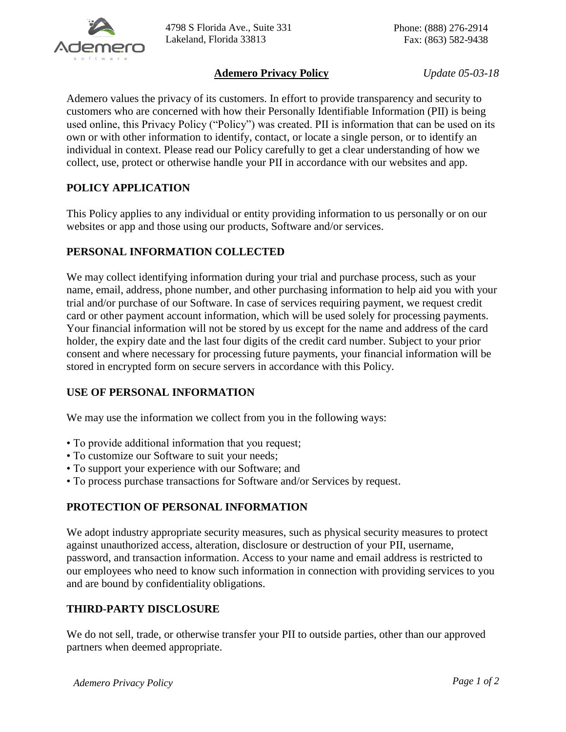

### **Ademero Privacy Policy** *Update 05-03-18*

Ademero values the privacy of its customers. In effort to provide transparency and security to customers who are concerned with how their Personally Identifiable Information (PII) is being used online, this Privacy Policy ("Policy") was created. PII is information that can be used on its own or with other information to identify, contact, or locate a single person, or to identify an individual in context. Please read our Policy carefully to get a clear understanding of how we collect, use, protect or otherwise handle your PII in accordance with our websites and app.

# **POLICY APPLICATION**

This Policy applies to any individual or entity providing information to us personally or on our websites or app and those using our products, Software and/or services.

### **PERSONAL INFORMATION COLLECTED**

We may collect identifying information during your trial and purchase process, such as your name, email, address, phone number, and other purchasing information to help aid you with your trial and/or purchase of our Software. In case of services requiring payment, we request credit card or other payment account information, which will be used solely for processing payments. Your financial information will not be stored by us except for the name and address of the card holder, the expiry date and the last four digits of the credit card number. Subject to your prior consent and where necessary for processing future payments, your financial information will be stored in encrypted form on secure servers in accordance with this Policy.

# **USE OF PERSONAL INFORMATION**

We may use the information we collect from you in the following ways:

- To provide additional information that you request;
- To customize our Software to suit your needs;
- To support your experience with our Software; and
- To process purchase transactions for Software and/or Services by request.

#### **PROTECTION OF PERSONAL INFORMATION**

We adopt industry appropriate security measures, such as physical security measures to protect against unauthorized access, alteration, disclosure or destruction of your PII, username, password, and transaction information. Access to your name and email address is restricted to our employees who need to know such information in connection with providing services to you and are bound by confidentiality obligations.

#### **THIRD-PARTY DISCLOSURE**

We do not sell, trade, or otherwise transfer your PII to outside parties, other than our approved partners when deemed appropriate.